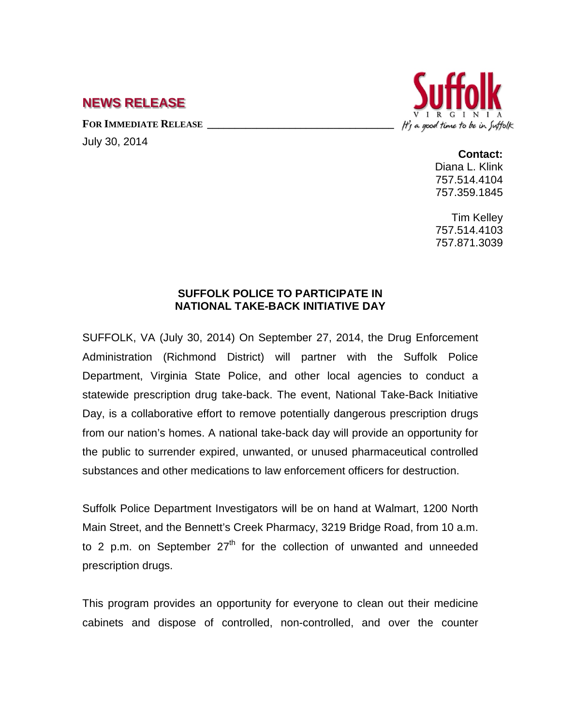## **NEWS RELEASE**

FOR IMMEDIATE RELEASE

July 30, 2014



**Contact:**

Diana L. Klink 757.514.4104 757.359.1845

Tim Kelley 757.514.4103 757.871.3039

## **SUFFOLK POLICE TO PARTICIPATE IN NATIONAL TAKE-BACK INITIATIVE DAY**

SUFFOLK, VA (July 30, 2014) On September 27, 2014, the Drug Enforcement Administration (Richmond District) will partner with the Suffolk Police Department, Virginia State Police, and other local agencies to conduct a statewide prescription drug take-back. The event, National Take-Back Initiative Day, is a collaborative effort to remove potentially dangerous prescription drugs from our nation's homes. A national take-back day will provide an opportunity for the public to surrender expired, unwanted, or unused pharmaceutical controlled substances and other medications to law enforcement officers for destruction.

Suffolk Police Department Investigators will be on hand at Walmart, 1200 North Main Street, and the Bennett's Creek Pharmacy, 3219 Bridge Road, from 10 a.m. to 2 p.m. on September  $27<sup>th</sup>$  for the collection of unwanted and unneeded prescription drugs.

This program provides an opportunity for everyone to clean out their medicine cabinets and dispose of controlled, non-controlled, and over the counter